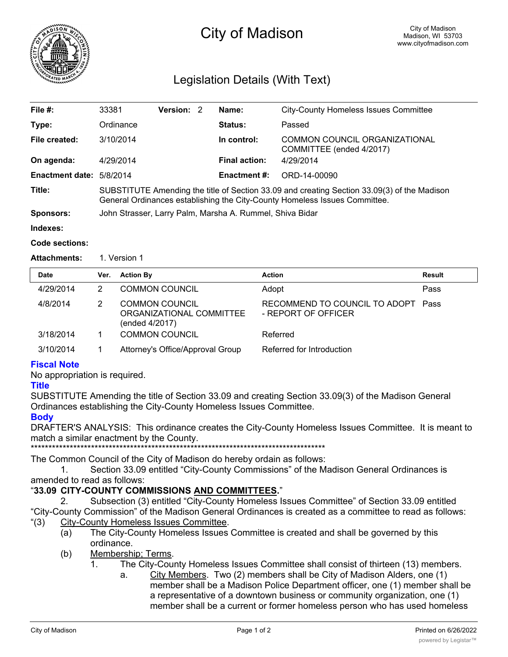

# City of Madison

# Legislation Details (With Text)

| File #:                  | 33381                                                                                                                                                                     | Version: 2 |  | Name:                | <b>City-County Homeless Issues Committee</b>              |  |
|--------------------------|---------------------------------------------------------------------------------------------------------------------------------------------------------------------------|------------|--|----------------------|-----------------------------------------------------------|--|
| Type:                    | Ordinance                                                                                                                                                                 |            |  | Status:              | Passed                                                    |  |
| File created:            | 3/10/2014                                                                                                                                                                 |            |  | In control:          | COMMON COUNCIL ORGANIZATIONAL<br>COMMITTEE (ended 4/2017) |  |
| On agenda:               | 4/29/2014                                                                                                                                                                 |            |  | <b>Final action:</b> | 4/29/2014                                                 |  |
| Enactment date: 5/8/2014 |                                                                                                                                                                           |            |  | <b>Enactment #:</b>  | ORD-14-00090                                              |  |
| Title:                   | SUBSTITUTE Amending the title of Section 33.09 and creating Section 33.09(3) of the Madison<br>General Ordinances establishing the City-County Homeless Issues Committee. |            |  |                      |                                                           |  |
| <b>Sponsors:</b>         | John Strasser, Larry Palm, Marsha A. Rummel, Shiva Bidar                                                                                                                  |            |  |                      |                                                           |  |
| Indovoc:                 |                                                                                                                                                                           |            |  |                      |                                                           |  |

# **Indexes:**

### **Code sections:**

Attachments: 1. Version 1

| <b>Date</b> | Ver. | <b>Action By</b>                                                    | <b>Action</b>                                             | Result |
|-------------|------|---------------------------------------------------------------------|-----------------------------------------------------------|--------|
| 4/29/2014   | 2    | <b>COMMON COUNCIL</b>                                               | Adopt                                                     | Pass   |
| 4/8/2014    | 2    | <b>COMMON COUNCIL</b><br>ORGANIZATIONAL COMMITTEE<br>(ended 4/2017) | RECOMMEND TO COUNCIL TO ADOPT Pass<br>- REPORT OF OFFICER |        |
| 3/18/2014   |      | <b>COMMON COUNCIL</b>                                               | Referred                                                  |        |
| 3/10/2014   |      | Attorney's Office/Approval Group                                    | Referred for Introduction                                 |        |

## **Fiscal Note**

No appropriation is required.

#### **Title**

SUBSTITUTE Amending the title of Section 33.09 and creating Section 33.09(3) of the Madison General Ordinances establishing the City-County Homeless Issues Committee.

#### **Body**

DRAFTER'S ANALYSIS: This ordinance creates the City-County Homeless Issues Committee. It is meant to match a similar enactment by the County.

\*\*\*\*\*\*\*\*\*\*\*\*\*\*\*\*\*\*\*\*\*\*\*\*\*\*\*\*\*\*\*\*\*\*\*\*\*\*\*\*\*\*\*\*\*\*\*\*\*\*\*\*\*\*\*\*\*\*\*\*\*\*\*\*\*\*\*\*\*\*\*\*\*\*\*\*\*\*\*\*\*\*\*

The Common Council of the City of Madison do hereby ordain as follows:

1. Section 33.09 entitled "City-County Commissions" of the Madison General Ordinances is amended to read as follows:

## "**33.09 CITY-COUNTY COMMISSIONS AND COMMITTEES.**"

- 2. Subsection (3) entitled "City-County Homeless Issues Committee" of Section 33.09 entitled "City-County Commission" of the Madison General Ordinances is created as a committee to read as follows: "(3) City-County Homeless Issues Committee.
	- (a) The City-County Homeless Issues Committee is created and shall be governed by this ordinance.
	- (b) Membership; Terms.
		- 1. The City-County Homeless Issues Committee shall consist of thirteen (13) members.
			- a. City Members. Two (2) members shall be City of Madison Alders, one (1) member shall be a Madison Police Department officer, one (1) member shall be a representative of a downtown business or community organization, one (1) member shall be a current or former homeless person who has used homeless